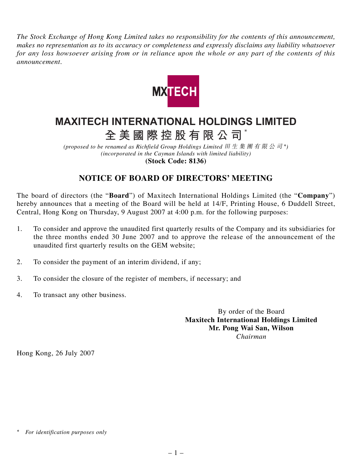*The Stock Exchange of Hong Kong Limited takes no responsibility for the contents of this announcement, makes no representation as to its accuracy or completeness and expressly disclaims any liability whatsoever for any loss howsoever arising from or in reliance upon the whole or any part of the contents of this announcement.*



## **MAXITECH INTERNATIONAL HOLDINGS LIMITED**

**全美國際控股有限公司** \*

*(proposed to be renamed as Richfield Group Holdings Limited* 田生集團有限公司 *\*) (incorporated in the Cayman Islands with limited liability)* **(Stock Code: 8136)**

## **NOTICE OF BOARD OF DIRECTORS' MEETING**

The board of directors (the "**Board**") of Maxitech International Holdings Limited (the "**Company**") hereby announces that a meeting of the Board will be held at 14/F, Printing House, 6 Duddell Street, Central, Hong Kong on Thursday, 9 August 2007 at 4:00 p.m. for the following purposes:

- 1. To consider and approve the unaudited first quarterly results of the Company and its subsidiaries for the three months ended 30 June 2007 and to approve the release of the announcement of the unaudited first quarterly results on the GEM website;
- 2. To consider the payment of an interim dividend, if any;
- 3. To consider the closure of the register of members, if necessary; and
- 4. To transact any other business.

By order of the Board **Maxitech International Holdings Limited Mr. Pong Wai San, Wilson** *Chairman*

Hong Kong, 26 July 2007

*<sup>\*</sup> For identification purposes only*